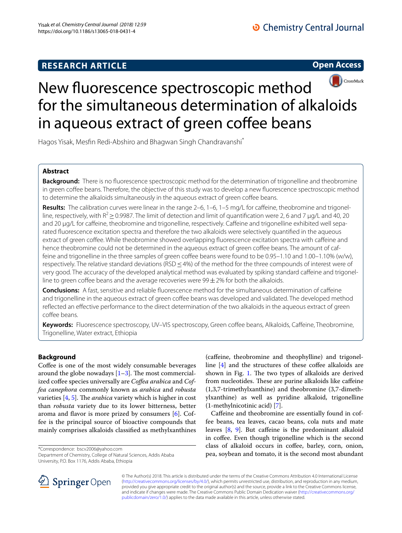# **RESEARCH ARTICLE**

**Open Access**



# New fuorescence spectroscopic method for the simultaneous determination of alkaloids in aqueous extract of green coffee beans

Hagos Yisak, Mesfin Redi-Abshiro and Bhagwan Singh Chandravanshi<sup>\*</sup>

# **Abstract**

**Background:** There is no fuorescence spectroscopic method for the determination of trigonelline and theobromine in green coffee beans. Therefore, the objective of this study was to develop a new fluorescence spectroscopic method to determine the alkaloids simultaneously in the aqueous extract of green cofee beans.

**Results:** The calibration curves were linear in the range 2–6, 1–6, 1–5 mg/L for caffeine, theobromine and trigonelline, respectively, with  $R^2$   $\geq$  0.9987. The limit of detection and limit of quantification were 2, 6 and 7 µg/L and 40, 20 and 20 µg/L for caffeine, theobromine and trigonelline, respectively. Caffeine and trigonelline exhibited well separated fuorescence excitation spectra and therefore the two alkaloids were selectively quantifed in the aqueous extract of green coffee. While theobromine showed overlapping fluorescence excitation spectra with caffeine and hence theobromine could not be determined in the aqueous extract of green coffee beans. The amount of caffeine and trigonelline in the three samples of green coffee beans were found to be 0.95–1.10 and 1.00–1.10% (w/w), respectively. The relative standard deviations (RSD ≤4%) of the method for the three compounds of interest were of very good. The accuracy of the developed analytical method was evaluated by spiking standard caffeine and trigonelline to green coffee beans and the average recoveries were  $99 \pm 2\%$  for both the alkaloids.

**Conclusions:** A fast, sensitive and reliable fuorescence method for the simultaneous determination of cafeine and trigonelline in the aqueous extract of green coffee beans was developed and validated. The developed method refected an efective performance to the direct determination of the two alkaloids in the aqueous extract of green cofee beans.

**Keywords:** Fluorescence spectroscopy, UV–VIS spectroscopy, Green cofee beans, Alkaloids, Cafeine, Theobromine, Trigonelline, Water extract, Ethiopia

# **Background**

Coffee is one of the most widely consumable beverages around the globe nowadays  $[1-3]$  $[1-3]$ . The most commercialized coffee species universally are *Coffea arabica* and *Coffea canephora* commonly known as *arabica* and *robusta* varieties [\[4](#page-6-2), [5\]](#page-6-3). The *arabica* variety which is higher in cost than *robusta* variety due to its lower bitterness, better aroma and flavor is more prized by consumers  $[6]$  $[6]$ . Coffee is the principal source of bioactive compounds that mainly comprises alkaloids classifed as methylxanthines

\*Correspondence: bscv2006@yahoo.com

Department of Chemistry, College of Natural Sciences, Addis Ababa University, P.O. Box 1176, Addis Ababa, Ethiopia

(cafeine, theobromine and theophylline) and trigonelline  $[4]$  $[4]$  and the structures of these coffee alkaloids are shown in Fig. [1.](#page-1-0) The two types of alkaloids are derived from nucleotides. These are purine alkaloids like caffeine (1,3,7-trimethylxanthine) and theobromine (3,7-dimethylxanthine) as well as pyridine alkaloid, trigonelline (1-methylnicotinic acid) [[7](#page-6-5)].

Caffeine and theobromine are essentially found in coffee beans, tea leaves, cacao beans, cola nuts and mate leaves [[8,](#page-6-6) [9\]](#page-6-7). But caffeine is the predominant alkaloid in coffee. Even though trigonelline which is the second class of alkaloid occurs in cofee, barley, corn, onion, pea, soybean and tomato, it is the second most abundant



© The Author(s) 2018. This article is distributed under the terms of the Creative Commons Attribution 4.0 International License [\(http://creativecommons.org/licenses/by/4.0/\)](http://creativecommons.org/licenses/by/4.0/), which permits unrestricted use, distribution, and reproduction in any medium, provided you give appropriate credit to the original author(s) and the source, provide a link to the Creative Commons license, and indicate if changes were made. The Creative Commons Public Domain Dedication waiver ([http://creativecommons.org/](http://creativecommons.org/publicdomain/zero/1.0/) [publicdomain/zero/1.0/](http://creativecommons.org/publicdomain/zero/1.0/)) applies to the data made available in this article, unless otherwise stated.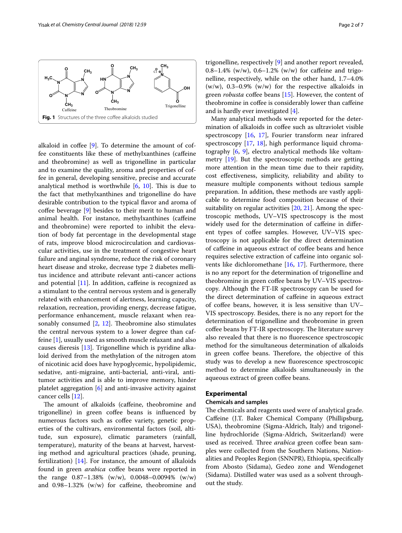

<span id="page-1-0"></span>alkaloid in coffee  $[9]$  $[9]$ . To determine the amount of coffee constituents like these of methylxanthines (cafeine and theobromine) as well as trigonelline in particular and to examine the quality, aroma and properties of coffee in general, developing sensitive, precise and accurate analytical method is worthwhile  $[6, 10]$  $[6, 10]$  $[6, 10]$  $[6, 10]$ . This is due to the fact that methylxanthines and trigonelline do have desirable contribution to the typical favor and aroma of coffee beverage  $[9]$  $[9]$  besides to their merit to human and animal health. For instance, methylxanthines (cafeine and theobromine) were reported to inhibit the elevation of body fat percentage in the developmental stage of rats, improve blood microcirculation and cardiovascular activities, use in the treatment of congestive heart failure and anginal syndrome, reduce the risk of coronary heart disease and stroke, decrease type 2 diabetes mellitus incidence and attribute relevant anti-cancer actions and potential  $[11]$  $[11]$ . In addition, caffeine is recognized as a stimulant to the central nervous system and is generally related with enhancement of alertness, learning capacity, relaxation, recreation, providing energy, decrease fatigue, performance enhancement, muscle relaxant when reasonably consumed  $[2, 12]$  $[2, 12]$  $[2, 12]$  $[2, 12]$ . Theobromine also stimulates the central nervous system to a lower degree than caffeine [[1\]](#page-6-0), usually used as smooth muscle relaxant and also causes dieresis [[13\]](#page-6-12). Trigonelline which is pyridine alkaloid derived from the methylation of the nitrogen atom of nicotinic acid does have hypoglycemic, hypolipidemic, sedative, anti-migraine, anti-bacterial, anti-viral, antitumor activities and is able to improve memory, hinder platelet aggregation [\[6](#page-6-4)] and anti-invasive activity against cancer cells [\[12](#page-6-11)].

The amount of alkaloids (caffeine, theobromine and trigonelline) in green coffee beans is influenced by numerous factors such as coffee variety, genetic properties of the cultivars, environmental factors (soil, altitude, sun exposure), climatic parameters (rainfall, temperature), maturity of the beans at harvest, harvesting method and agricultural practices (shade, pruning, fertilization)  $[14]$  $[14]$ . For instance, the amount of alkaloids found in green *arabica* coffee beans were reported in the range 0.87–1.38% (w/w), 0.0048–0.0094% (w/w) and 0.98–1.32% (w/w) for cafeine, theobromine and trigonelline, respectively [[9\]](#page-6-7) and another report revealed, 0.8–1.4% (w/w), 0.6–1.2% (w/w) for caffeine and trigonelline, respectively, while on the other hand, 1.7–4.0%  $(w/w)$ , 0.3–0.9%  $(w/w)$  for the respective alkaloids in green *robusta* coffee beans [\[15\]](#page-6-14). However, the content of theobromine in cofee is considerably lower than cafeine and is hardly ever investigated [\[4](#page-6-2)].

Many analytical methods were reported for the determination of alkaloids in coffee such as ultraviolet visible spectroscopy [\[16,](#page-6-15) [17\]](#page-6-16), Fourier transform near infrared spectroscopy [[17,](#page-6-16) [18](#page-6-17)], high performance liquid chromatography [\[6](#page-6-4), [9](#page-6-7)], electro analytical methods like voltammetry [[19\]](#page-6-18). But the spectroscopic methods are getting more attention in the mean time due to their rapidity, cost efectiveness, simplicity, reliability and ability to measure multiple components without tedious sample preparation. In addition, these methods are vastly applicable to determine food composition because of their suitability on regular activities [\[20,](#page-6-19) [21\]](#page-6-20). Among the spectroscopic methods, UV–VIS spectroscopy is the most widely used for the determination of caffeine in different types of coffee samples. However, UV–VIS spectroscopy is not applicable for the direct determination of cafeine in aqueous extract of cofee beans and hence requires selective extraction of cafeine into organic solvents like dichloromethane [[16](#page-6-15), [17](#page-6-16)]. Furthermore, there is no any report for the determination of trigonelline and theobromine in green coffee beans by UV–VIS spectroscopy. Although the FT-IR spectroscopy can be used for the direct determination of cafeine in aqueous extract of coffee beans, however, it is less sensitive than UV-VIS spectroscopy. Besides, there is no any report for the determination of trigonelline and theobromine in green coffee beans by FT-IR spectroscopy. The literature survey also revealed that there is no fuorescence spectroscopic method for the simultaneous determination of alkaloids in green coffee beans. Therefore, the objective of this study was to develop a new fuorescence spectroscopic method to determine alkaloids simultaneously in the aqueous extract of green coffee beans.

# **Experimental**

# **Chemicals and samples**

The chemicals and reagents used were of analytical grade. Cafeine (J.T. Baker Chemical Company (Phillipsburg, USA), theobromine (Sigma-Aldrich, Italy) and trigonelline hydrochloride (Sigma-Aldrich, Switzerland) were used as received. Three *arabica* green coffee bean samples were collected from the Southern Nations, Nationalities and Peoples Region (SNNPR), Ethiopia, specifcally from Abosto (Sidama), Gedeo zone and Wendogenet (Sidama). Distilled water was used as a solvent throughout the study.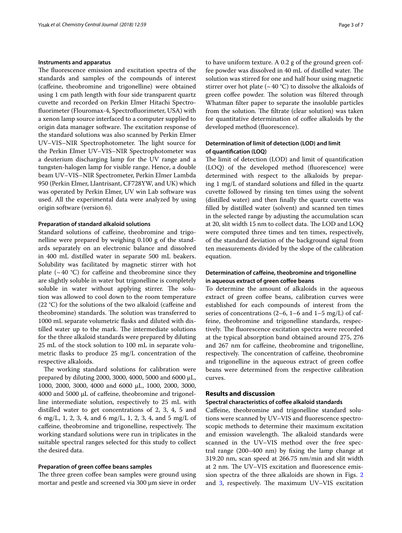## **Instruments and apparatus**

The fluorescence emission and excitation spectra of the standards and samples of the compounds of interest (cafeine, theobromine and trigonelline) were obtained using 1 cm path length with four side transparent quartz cuvette and recorded on Perkin Elmer Hitachi Spectrofuorimeter (Flouromax-4, Spectrofuorimeter, USA) with a xenon lamp source interfaced to a computer supplied to origin data manager software. The excitation response of the standard solutions was also scanned by Perkin Elmer UV-VIS-NIR Spectrophotometer. The light source for the Perkin Elmer UV–VIS–NIR Spectrophotometer was a deuterium discharging lamp for the UV range and a tungsten-halogen lamp for visible range. Hence, a double beam UV–VIS–NIR Spectrometer, Perkin Elmer Lambda 950 (Perkin Elmer, Llantrisant, CF728YW, and UK) which was operated by Perkin Elmer, UV win Lab software was used. All the experimental data were analyzed by using origin software (version 6).

# **Preparation of standard alkaloid solutions**

Standard solutions of cafeine, theobromine and trigonelline were prepared by weighing 0.100 g of the standards separately on an electronic balance and dissolved in 400 mL distilled water in separate 500 mL beakers. Solubility was facilitated by magnetic stirrer with hot plate  $({\sim}40 \text{ °C})$  for caffeine and theobromine since they are slightly soluble in water but trigonelline is completely soluble in water without applying stirrer. The solution was allowed to cool down to the room temperature (22 °C) for the solutions of the two alkaloid (caffeine and theobromine) standards. The solution was transferred to 1000 mL separate volumetric fasks and diluted with distilled water up to the mark. The intermediate solutions for the three alkaloid standards were prepared by diluting 25 mL of the stock solution to 100 mL in separate volumetric fasks to produce 25 mg/L concentration of the respective alkaloids.

The working standard solutions for calibration were prepared by diluting 2000, 3000, 4000, 5000 and 6000 µL, 1000, 2000, 3000, 4000 and 6000 µL, 1000, 2000, 3000,  $4000$  and  $5000 \mu L$  of caffeine, theobromine and trigonelline intermediate solution, respectively to 25 mL with distilled water to get concentrations of 2, 3, 4, 5 and 6 mg/L, 1, 2, 3, 4, and 6 mg/L, 1, 2, 3, 4, and 5 mg/L of caffeine, theobromine and trigonelline, respectively. The working standard solutions were run in triplicates in the suitable spectral ranges selected for this study to collect the desired data.

#### **Preparation of green cofee beans samples**

The three green coffee bean samples were ground using mortar and pestle and screened via 300 μm sieve in order to have uniform texture. A 0.2 g of the ground green coffee powder was dissolved in 40 mL of distilled water. The solution was stirred for one and half hour using magnetic stirrer over hot plate ( $\sim$  40 °C) to dissolve the alkaloids of green coffee powder. The solution was filtered through Whatman flter paper to separate the insoluble particles from the solution. The filtrate (clear solution) was taken for quantitative determination of cofee alkaloids by the developed method (fuorescence).

# **Determination of limit of detection (LOD) and limit of quantifcation (LOQ)**

The limit of detection (LOD) and limit of quantification (LOQ) of the developed method (fuorescence) were determined with respect to the alkaloids by preparing 1 mg/L of standard solutions and flled in the quartz cuvette followed by rinsing ten times using the solvent (distilled water) and then fnally the quartz cuvette was flled by distilled water (solvent) and scanned ten times in the selected range by adjusting the accumulation scan at 20, slit width 15 nm to collect data. The LOD and LOQ were computed three times and ten times, respectively, of the standard deviation of the background signal from ten measurements divided by the slope of the calibration equation.

# **Determination of cafeine, theobromine and trigonelline in aqueous extract of green cofee beans**

To determine the amount of alkaloids in the aqueous extract of green coffee beans, calibration curves were established for each compounds of interest from the series of concentrations (2–6, 1–6 and 1–5 mg/L) of caffeine, theobromine and trigonelline standards, respectively. The fluorescence excitation spectra were recorded at the typical absorption band obtained around 275, 276 and 267 nm for cafeine, theobromine and trigonelline, respectively. The concentration of caffeine, theobromine and trigonelline in the aqueous extract of green coffee beans were determined from the respective calibration curves.

# **Results and discussion**

#### **Spectral characteristics of cofee alkaloid standards**

Cafeine, theobromine and trigonelline standard solutions were scanned by UV–VIS and fuorescence spectroscopic methods to determine their maximum excitation and emission wavelength. The alkaloid standards were scanned in the UV–VIS method over the free spectral range (200–400 nm) by fxing the lamp change at 319.20 nm, scan speed at 266.75 nm/min and slit width at 2 nm. The UV–VIS excitation and fluorescence emission spectra of the three alkaloids are shown in Figs. [2](#page-3-0) and  $3$ , respectively. The maximum UV–VIS excitation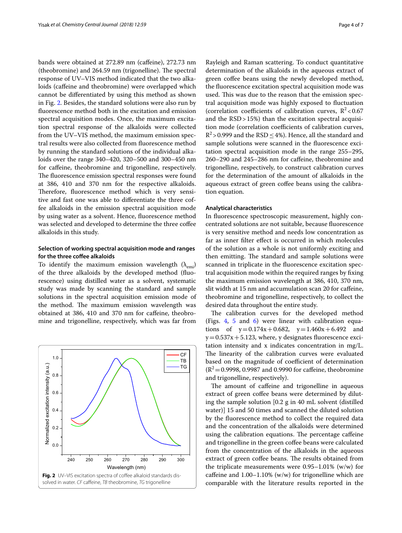bands were obtained at 272.89 nm (caffeine), 272.73 nm  $(theobromine)$  and 264.59 nm  $(trigoneline)$ . The spectral response of UV–VIS method indicated that the two alkaloids (caffeine and theobromine) were overlapped which cannot be diferentiated by using this method as shown in Fig. [2](#page-3-0). Besides, the standard solutions were also run by fuorescence method both in the excitation and emission spectral acquisition modes. Once, the maximum excitation spectral response of the alkaloids were collected from the UV–VIS method, the maximum emission spectral results were also collected from fuorescence method by running the standard solutions of the individual alkaloids over the range 340–420, 320–500 and 300–450 nm for cafeine, theobromine and trigonelline, respectively. The fluorescence emission spectral responses were found at 386, 410 and 370 nm for the respective alkaloids. Therefore, fluorescence method which is very sensitive and fast one was able to diferentiate the three coffee alkaloids in the emission spectral acquisition mode by using water as a solvent. Hence, fuorescence method was selected and developed to determine the three coffee alkaloids in this study.

# **Selection of working spectral acquisition mode and ranges for the three cofee alkaloids**

To identify the maximum emission wavelength  $(\lambda_{emi})$ of the three alkaloids by the developed method (fuorescence) using distilled water as a solvent, systematic study was made by scanning the standard and sample solutions in the spectral acquisition emission mode of the method. The maximum emission wavelength was obtained at 386, 410 and 370 nm for cafeine, theobromine and trigonelline, respectively, which was far from

<span id="page-3-0"></span>

Rayleigh and Raman scattering. To conduct quantitative determination of the alkaloids in the aqueous extract of green coffee beans using the newly developed method, the fuorescence excitation spectral acquisition mode was used. This was due to the reason that the emission spectral acquisition mode was highly exposed to fuctuation (correlation coefficients of calibration curves,  $R^2$  < 0.67 and the RSD>15%) than the excitation spectral acquisition mode (correlation coefficients of calibration curves,  $R^2$  > 0.999 and the RSD  $\leq$  4%). Hence, all the standard and sample solutions were scanned in the fuorescence excitation spectral acquisition mode in the range 255–295, 260–290 and 245–286 nm for cafeine, theobromine and trigonelline, respectively, to construct calibration curves for the determination of the amount of alkaloids in the aqueous extract of green coffee beans using the calibration equation.

# **Analytical characteristics**

In fuorescence spectroscopic measurement, highly concentrated solutions are not suitable, because fuorescence is very sensitive method and needs low concentration as far as inner flter efect is occurred in which molecules of the solution as a whole is not uniformly exciting and then emitting. The standard and sample solutions were scanned in triplicate in the fuorescence excitation spectral acquisition mode within the required ranges by fxing the maximum emission wavelength at 386, 410, 370 nm, slit width at 15 nm and accumulation scan 20 for cafeine, theobromine and trigonelline, respectively, to collect the desired data throughout the entire study.

The calibration curves for the developed method (Figs. [4,](#page-4-1) [5](#page-4-2) and [6](#page-4-3)) were linear with calibration equations of  $y=0.174x+0.682$ ,  $y=1.460x+6.492$  and  $y=0.537x+5.123$ , where, y designates fluorescence excitation intensity and x indicates concentration in mg/L. The linearity of the calibration curves were evaluated based on the magnitude of coefficient of determination  $(R^2=0.9998, 0.9987$  and 0.9990 for caffeine, theobromine and trigonelline, respectively).

The amount of caffeine and trigonelline in aqueous extract of green coffee beans were determined by diluting the sample solution [0.2 g in 40 mL solvent (distilled water)] 15 and 50 times and scanned the diluted solution by the fuorescence method to collect the required data and the concentration of the alkaloids were determined using the calibration equations. The percentage caffeine and trigonelline in the green coffee beans were calculated from the concentration of the alkaloids in the aqueous extract of green coffee beans. The results obtained from the triplicate measurements were  $0.95-1.01\%$  (w/w) for caffeine and  $1.00-1.10\%$  (w/w) for trigonelline which are comparable with the literature results reported in the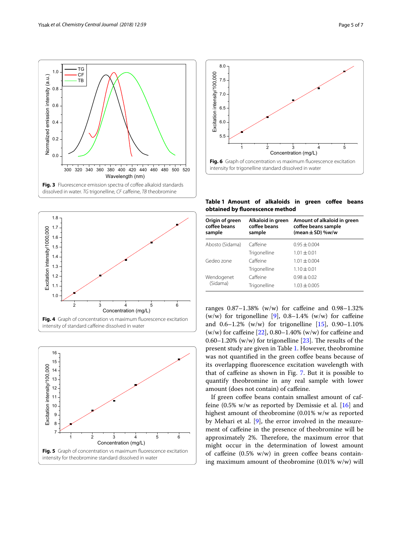

<span id="page-4-0"></span>

<span id="page-4-2"></span><span id="page-4-1"></span>



<span id="page-4-4"></span><span id="page-4-3"></span>**Table 1 Amount of alkaloids in green cofee beans obtained by fuorescence method**

| Origin of green<br>coffee beans<br>sample | Alkaloid in green<br>coffee beans<br>sample | Amount of alkaloid in green<br>coffee beans sample<br>(mean $\pm$ SD) %w/w |  |
|-------------------------------------------|---------------------------------------------|----------------------------------------------------------------------------|--|
| Abosto (Sidama)                           | Caffeine                                    | $0.95 + 0.004$                                                             |  |
|                                           | Trigonelline                                | $1.01 + 0.01$                                                              |  |
| Gedeo zone                                | Caffeine                                    | $1.01 \pm 0.004$                                                           |  |
|                                           | Trigonelline                                | $1.10 \pm 0.01$                                                            |  |
| Wendogenet                                | Caffeine                                    | $0.98 + 0.02$                                                              |  |
| (Sidama)                                  | Trigonelline                                | $1.03 \pm 0.005$                                                           |  |

ranges 0.87–1.38% (w/w) for cafeine and 0.98–1.32% (w/w) for trigonelline [[9\]](#page-6-7),  $0.8-1.4\%$  (w/w) for caffeine and  $0.6-1.2\%$  (w/w) for trigonelline [[15\]](#page-6-14),  $0.90-1.10\%$ (w/w) for caffeine  $[22]$  $[22]$ , 0.80–1.40% (w/w) for caffeine and 0.60–1.20% (w/w) for trigonelline [[23](#page-6-22)]. The results of the present study are given in Table [1](#page-4-4). However, theobromine was not quantified in the green coffee beans because of its overlapping fuorescence excitation wavelength with that of cafeine as shown in Fig. [7.](#page-5-0) But it is possible to quantify theobromine in any real sample with lower amount (does not contain) of cafeine.

If green coffee beans contain smallest amount of caffeine  $(0.5\%$  w/w as reported by Demissie et al. [[16\]](#page-6-15) and highest amount of theobromine (0.01% w/w as reported by Mehari et al.  $[9]$  $[9]$ , the error involved in the measurement of cafeine in the presence of theobromine will be approximately 2%. Therefore, the maximum error that might occur in the determination of lowest amount of caffeine  $(0.5\% \t{w/w})$  in green coffee beans containing maximum amount of theobromine (0.01% w/w) will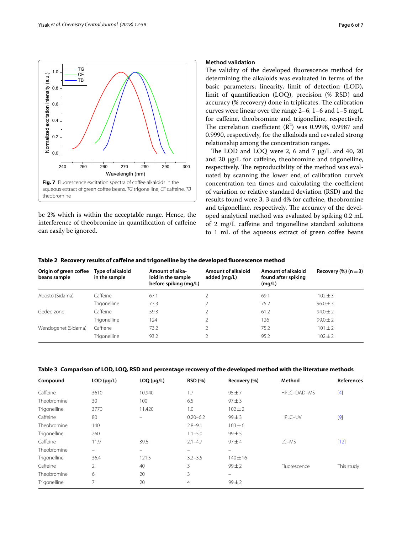

<span id="page-5-0"></span>be 2% which is within the acceptable range. Hence, the interference of theobromine in quantifcation of cafeine can easily be ignored.

# **Method validation**

The validity of the developed fluorescence method for determining the alkaloids was evaluated in terms of the basic parameters; linearity, limit of detection (LOD), limit of quantifcation (LOQ), precision (% RSD) and accuracy (% recovery) done in triplicates. The calibration curves were linear over the range 2–6, 1–6 and 1–5 mg/L for cafeine, theobromine and trigonelline, respectively. The correlation coefficient  $(R^2)$  was 0.9998, 0.9987 and 0.9990, respectively, for the alkaloids and revealed strong relationship among the concentration ranges.

The LOD and LOQ were 2, 6 and 7  $\mu$ g/L and 40, 20 and 20  $\mu$ g/L for caffeine, theobromine and trigonelline, respectively. The reproducibility of the method was evaluated by scanning the lower end of calibration curve's concentration ten times and calculating the coefficient of variation or relative standard deviation (RSD) and the results found were 3, 3 and 4% for cafeine, theobromine and trigonelline, respectively. The accuracy of the developed analytical method was evaluated by spiking 0.2 mL of 2 mg/L caffeine and trigonelline standard solutions to 1 mL of the aqueous extract of green coffee beans

<span id="page-5-1"></span>

|  |  |  | Table 2 Recovery results of caffeine and trigonelline by the developed fluorescence method |
|--|--|--|--------------------------------------------------------------------------------------------|
|--|--|--|--------------------------------------------------------------------------------------------|

| Origin of green coffee<br>beans sample | Type of alkaloid<br>in the sample | Amount of alka-<br>loid in the sample<br>before spiking (mg/L) | Amount of alkaloid<br>added (mg/L) | Amount of alkaloid<br>found after spiking<br>(mq/L) | Recovery $(\%)$ (n = 3) |
|----------------------------------------|-----------------------------------|----------------------------------------------------------------|------------------------------------|-----------------------------------------------------|-------------------------|
| Abosto (Sidama)                        | Caffeine                          | 67.1                                                           |                                    | 69.1                                                | $102 \pm 3$             |
|                                        | Trigonelline                      | 73.3                                                           |                                    | 75.2                                                | $96.0 \pm 3$            |
| Gedeo zone                             | Caffeine                          | 59.3                                                           |                                    | 61.2                                                | $94.0 \pm 2$            |
|                                        | Trigonelline                      | 124                                                            |                                    | 126                                                 | $99.0 \pm 2$            |
| Wendogenet (Sidama)                    | Caffiene                          | 73.2                                                           |                                    | 75.2                                                | $101 \pm 2$             |
|                                        | Trigonelline                      | 93.2                                                           |                                    | 95.2                                                | $102 \pm 2$             |

<span id="page-5-2"></span>

|  | Table 3 Comparison of LOD, LOQ, RSD and percentage recovery of the developed method with the literature methods |  |
|--|-----------------------------------------------------------------------------------------------------------------|--|
|  |                                                                                                                 |  |

| Compound     | LOD (µq/L)    | $LOQ$ ( $\mu$ g/L) | <b>RSD (%)</b> | Recovery (%)      | Method       | References |
|--------------|---------------|--------------------|----------------|-------------------|--------------|------------|
| Caffeine     | 3610          | 10,940             | 1.7            | $95 + 7$          | HPLC-DAD-MS  | $[4]$      |
| Theobromine  | 30            | 100                | 6.5            | $97 + 3$          |              |            |
| Trigonelline | 3770          | 11,420             | 1.0            | $102 \pm 2$       |              |            |
| Caffeine     | 80            |                    | $0.20 - 6.2$   | $99 \pm 3$        | HPLC-UV      | $[9]$      |
| Theobromine  | 140           |                    | $2.8 - 9.1$    | $103 + 6$         |              |            |
| Trigonelline | 260           |                    | $1.1 - 5.0$    | $99 + 5$          |              |            |
| Caffeine     | 11.9          | 39.6               | $2.1 - 4.7$    | $97 + 4$          | LC-MS        | $[12]$     |
| Theobromine  |               | $\equiv$           | $\equiv$       | $\equiv$          |              |            |
| Trigonelline | 36.4          | 121.5              | $3.2 - 3.5$    | $140 \pm 16$      |              |            |
| Caffeine     | $\mathcal{P}$ | 40                 | 3              | $99 + 2$          | Fluorescence | This study |
| Theobromine  | 6             | 20                 | 3              | $\qquad \qquad -$ |              |            |
| Trigonelline | 7             | 20                 | 4              | $99 + 2$          |              |            |